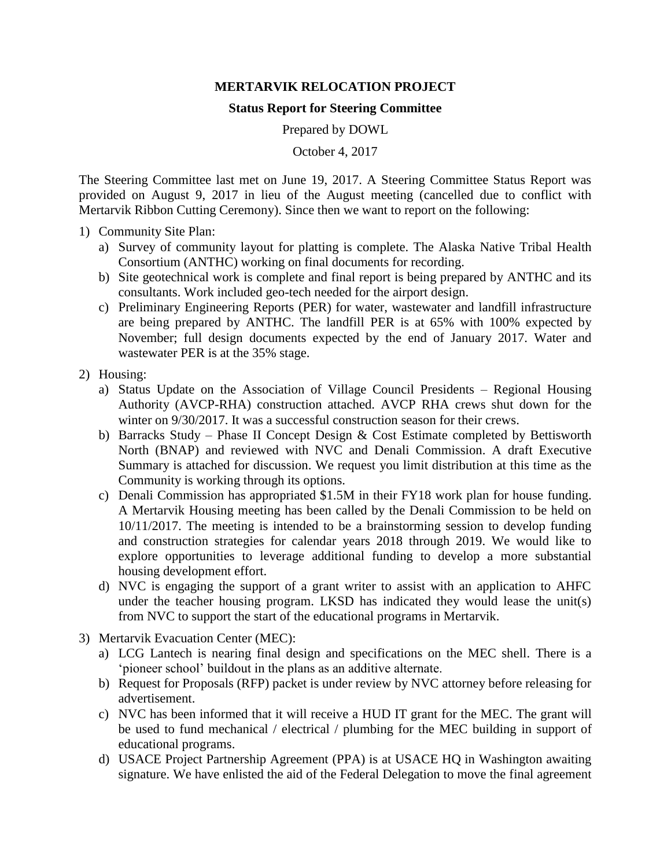## **MERTARVIK RELOCATION PROJECT**

## **Status Report for Steering Committee**

Prepared by DOWL

October 4, 2017

The Steering Committee last met on June 19, 2017. A Steering Committee Status Report was provided on August 9, 2017 in lieu of the August meeting (cancelled due to conflict with Mertarvik Ribbon Cutting Ceremony). Since then we want to report on the following:

- 1) Community Site Plan:
	- a) Survey of community layout for platting is complete. The Alaska Native Tribal Health Consortium (ANTHC) working on final documents for recording.
	- b) Site geotechnical work is complete and final report is being prepared by ANTHC and its consultants. Work included geo-tech needed for the airport design.
	- c) Preliminary Engineering Reports (PER) for water, wastewater and landfill infrastructure are being prepared by ANTHC. The landfill PER is at 65% with 100% expected by November; full design documents expected by the end of January 2017. Water and wastewater PER is at the 35% stage.
- 2) Housing:
	- a) Status Update on the Association of Village Council Presidents Regional Housing Authority (AVCP-RHA) construction attached. AVCP RHA crews shut down for the winter on 9/30/2017. It was a successful construction season for their crews.
	- b) Barracks Study Phase II Concept Design & Cost Estimate completed by Bettisworth North (BNAP) and reviewed with NVC and Denali Commission. A draft Executive Summary is attached for discussion. We request you limit distribution at this time as the Community is working through its options.
	- c) Denali Commission has appropriated \$1.5M in their FY18 work plan for house funding. A Mertarvik Housing meeting has been called by the Denali Commission to be held on 10/11/2017. The meeting is intended to be a brainstorming session to develop funding and construction strategies for calendar years 2018 through 2019. We would like to explore opportunities to leverage additional funding to develop a more substantial housing development effort.
	- d) NVC is engaging the support of a grant writer to assist with an application to AHFC under the teacher housing program. LKSD has indicated they would lease the unit(s) from NVC to support the start of the educational programs in Mertarvik.
- 3) Mertarvik Evacuation Center (MEC):
	- a) LCG Lantech is nearing final design and specifications on the MEC shell. There is a 'pioneer school' buildout in the plans as an additive alternate.
	- b) Request for Proposals (RFP) packet is under review by NVC attorney before releasing for advertisement.
	- c) NVC has been informed that it will receive a HUD IT grant for the MEC. The grant will be used to fund mechanical / electrical / plumbing for the MEC building in support of educational programs.
	- d) USACE Project Partnership Agreement (PPA) is at USACE HQ in Washington awaiting signature. We have enlisted the aid of the Federal Delegation to move the final agreement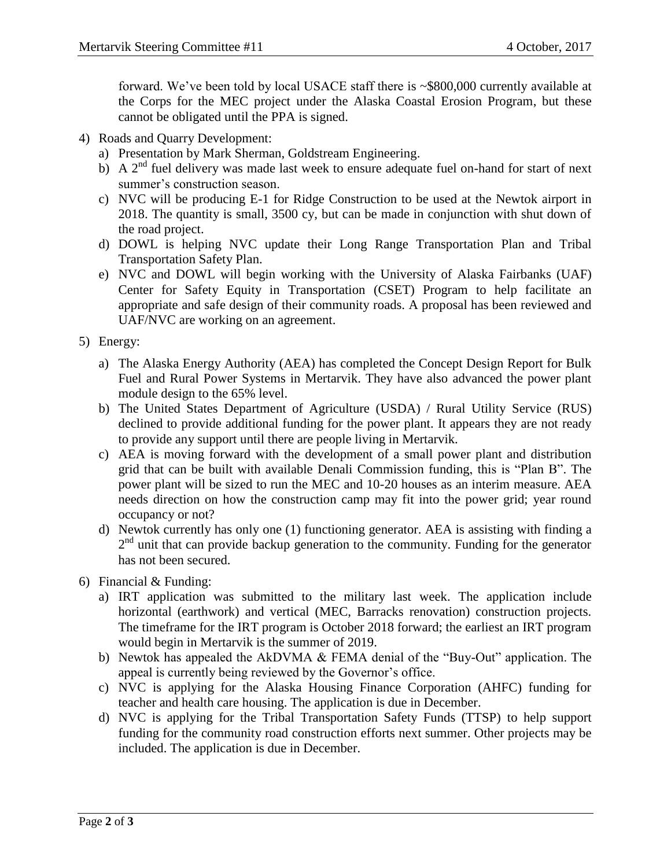forward. We've been told by local USACE staff there is ~\$800,000 currently available at the Corps for the MEC project under the Alaska Coastal Erosion Program, but these cannot be obligated until the PPA is signed.

- 4) Roads and Quarry Development:
	- a) Presentation by Mark Sherman, Goldstream Engineering.
	- b) A  $2<sup>nd</sup>$  fuel delivery was made last week to ensure adequate fuel on-hand for start of next summer's construction season.
	- c) NVC will be producing E-1 for Ridge Construction to be used at the Newtok airport in 2018. The quantity is small, 3500 cy, but can be made in conjunction with shut down of the road project.
	- d) DOWL is helping NVC update their Long Range Transportation Plan and Tribal Transportation Safety Plan.
	- e) NVC and DOWL will begin working with the University of Alaska Fairbanks (UAF) Center for Safety Equity in Transportation (CSET) Program to help facilitate an appropriate and safe design of their community roads. A proposal has been reviewed and UAF/NVC are working on an agreement.
- 5) Energy:
	- a) The Alaska Energy Authority (AEA) has completed the Concept Design Report for Bulk Fuel and Rural Power Systems in Mertarvik. They have also advanced the power plant module design to the 65% level.
	- b) The United States Department of Agriculture (USDA) / Rural Utility Service (RUS) declined to provide additional funding for the power plant. It appears they are not ready to provide any support until there are people living in Mertarvik.
	- c) AEA is moving forward with the development of a small power plant and distribution grid that can be built with available Denali Commission funding, this is "Plan B". The power plant will be sized to run the MEC and 10-20 houses as an interim measure. AEA needs direction on how the construction camp may fit into the power grid; year round occupancy or not?
	- d) Newtok currently has only one (1) functioning generator. AEA is assisting with finding a 2<sup>nd</sup> unit that can provide backup generation to the community. Funding for the generator has not been secured.
- 6) Financial & Funding:
	- a) IRT application was submitted to the military last week. The application include horizontal (earthwork) and vertical (MEC, Barracks renovation) construction projects. The timeframe for the IRT program is October 2018 forward; the earliest an IRT program would begin in Mertarvik is the summer of 2019.
	- b) Newtok has appealed the AkDVMA & FEMA denial of the "Buy-Out" application. The appeal is currently being reviewed by the Governor's office.
	- c) NVC is applying for the Alaska Housing Finance Corporation (AHFC) funding for teacher and health care housing. The application is due in December.
	- d) NVC is applying for the Tribal Transportation Safety Funds (TTSP) to help support funding for the community road construction efforts next summer. Other projects may be included. The application is due in December.